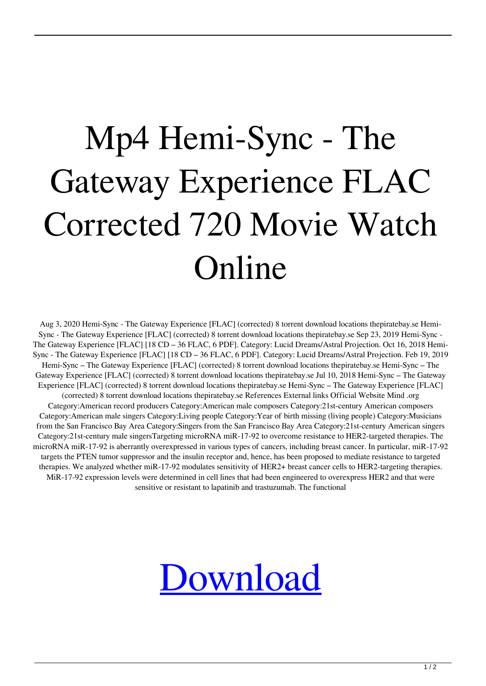## Mp4 Hemi-Sync - The Gateway Experience FLAC Corrected 720 Movie Watch Online

Aug 3, 2020 Hemi-Sync - The Gateway Experience [FLAC] (corrected) 8 torrent download locations thepiratebay.se Hemi-Sync - The Gateway Experience [FLAC] (corrected) 8 torrent download locations thepiratebay.se Sep 23, 2019 Hemi-Sync - The Gateway Experience [FLAC] [18 CD – 36 FLAC, 6 PDF]. Category: Lucid Dreams/Astral Projection. Oct 16, 2018 Hemi-Sync - The Gateway Experience [FLAC] [18 CD – 36 FLAC, 6 PDF]. Category: Lucid Dreams/Astral Projection. Feb 19, 2019 Hemi-Sync – The Gateway Experience [FLAC] (corrected) 8 torrent download locations thepiratebay.se Hemi-Sync – The Gateway Experience [FLAC] (corrected) 8 torrent download locations thepiratebay.se Jul 10, 2018 Hemi-Sync – The Gateway Experience [FLAC] (corrected) 8 torrent download locations thepiratebay.se Hemi-Sync – The Gateway Experience [FLAC] (corrected) 8 torrent download locations thepiratebay.se References External links Official Website Mind .org Category:American record producers Category:American male composers Category:21st-century American composers Category:American male singers Category:Living people Category:Year of birth missing (living people) Category:Musicians from the San Francisco Bay Area Category:Singers from the San Francisco Bay Area Category:21st-century American singers Category:21st-century male singersTargeting microRNA miR-17-92 to overcome resistance to HER2-targeted therapies. The microRNA miR-17-92 is aberrantly overexpressed in various types of cancers, including breast cancer. In particular, miR-17-92 targets the PTEN tumor suppressor and the insulin receptor and, hence, has been proposed to mediate resistance to targeted therapies. We analyzed whether miR-17-92 modulates sensitivity of HER2+ breast cancer cells to HER2-targeting therapies. MiR-17-92 expression levels were determined in cell lines that had been engineered to overexpress HER2 and that were sensitive or resistant to lapatinib and trastuzumab. The functional